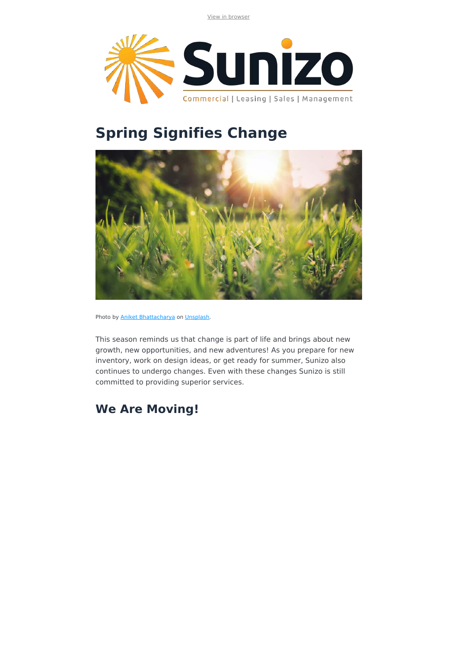View in browser



# **Spring Signifies Change**



Photo by **Aniket Bhattacharya** on *Unsplash*.

This season reminds us that change is part of life and brings about new growth, new opportunities, and new adventures! As you prepare for new inventory, work on design ideas, or get ready for summer, Sunizo also continues to undergo changes. Even with these changes Sunizo is still committed to providing superior services.

### **We Are Moving!**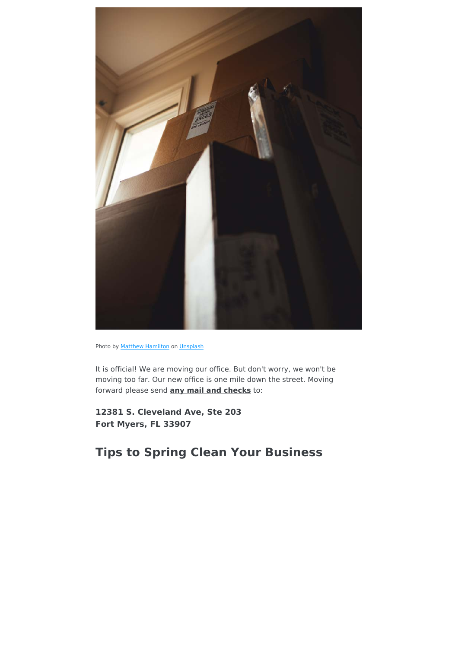

Photo by **Matthew Hamilton** on Unsplash

It is official! We are moving our office. But don't worry, we won't be moving too far. Our new office is one mile down the street. Moving forward please send **any mail and checks** to:

**12381 S. Cleveland Ave, Ste 203 Fort Myers, FL 33907**

**Tips to Spring Clean Your Business**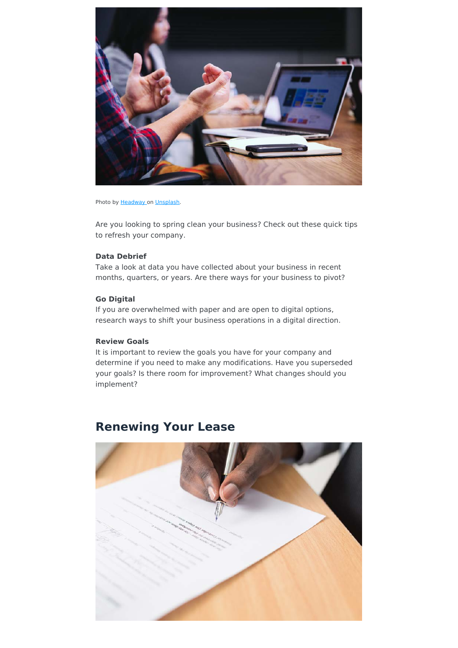

#### Photo by Headway on [Unsplash](https://unsplash.com/).

Are you looking to spring clean your business? Check out these quick tips to refresh your company.

### **Data Debrief**

Take a look at data you have collected about your business in recent months, quarters, or years. Are there ways for your business to pivot?

### **Go Digital**

If you are overwhelmed with paper and are open to digital options, research ways to shift your business operations in a digital direction.

### **Review Goals**

It is important to review the goals you have for your company and determine if you need to make any modifications. Have you superseded your goals? Is there room for improvement? What changes should you implement?

### **Renewing Your Lease**

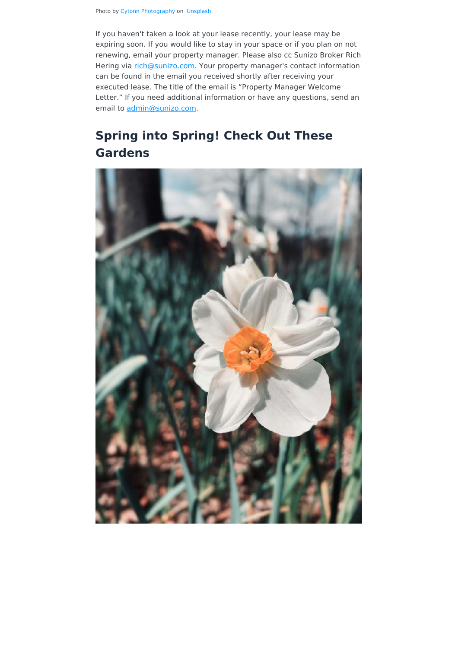If you haven't taken a look at your lease recently, your lease may be expiring soon. If you would like to stay in your space or if you plan on not renewing, email your property manager. Please also cc Sunizo Broker Rich Hering via [rich@sunizo.com.](mailto:rich@sunizo.com) Your property manager's contact information can be found in the email you received shortly after receiving your executed lease. The title of the email is "Property Manager Welcome Letter." If you need additional information or have any questions, send an email to [admin@sunizo.com.](mailto:admin@sunizo.com)

## **Spring into Spring! Check Out These Gardens**

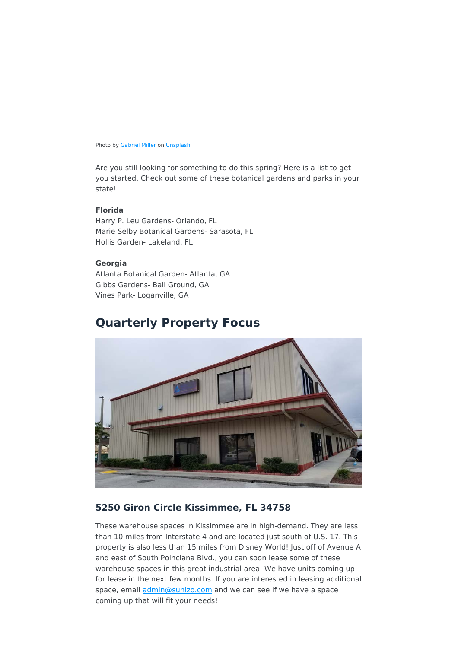Photo by **Gabriel Miller** on **Unsplash** 

Are you still looking for something to do this spring? Here is a list to get you started. Check out some of these botanical gardens and parks in your state!

### **Florida**

Harry P. Leu Gardens- Orlando, FL Marie Selby Botanical Gardens- Sarasota, FL Hollis Garden- Lakeland, FL

#### **Georgia**

Atlanta Botanical Garden- Atlanta, GA Gibbs Gardens- Ball Ground, GA Vines Park- Loganville, GA

### **Quarterly Property Focus**



### **5250 Giron Circle Kissimmee, FL 34758**

These warehouse spaces in Kissimmee are in high-demand. They are less than 10 miles from Interstate 4 and are located just south of U.S. 17. This property is also less than 15 miles from Disney World! Just off of Avenue A and east of South Poinciana Blvd., you can soon lease some of these warehouse spaces in this great industrial area. We have units coming up for lease in the next few months. If you are interested in leasing additional space, email *admin@sunizo.com* and we can see if we have a space coming up that will fit your needs!